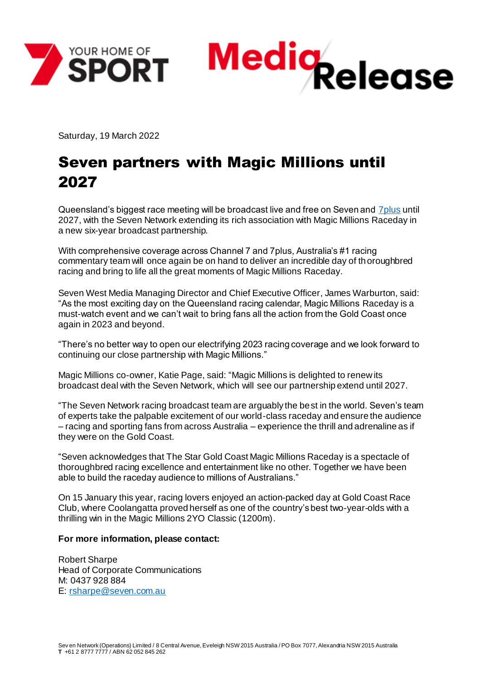



Saturday, 19 March 2022

## Seven partners with Magic Millions until 2027

Queensland's biggest race meeting will be broadcast live and free on Seven and 7 plus until 2027, with the Seven Network extending its rich association with Magic Millions Raceday in a new six-year broadcast partnership.

With comprehensive coverage across Channel 7 and 7plus, Australia's #1 racing commentary team will once again be on hand to deliver an incredible day of thoroughbred racing and bring to life all the great moments of Magic Millions Raceday.

Seven West Media Managing Director and Chief Executive Officer, James Warburton, said: "As the most exciting day on the Queensland racing calendar, Magic Millions Raceday is a must-watch event and we can't wait to bring fans all the action from the Gold Coast once again in 2023 and beyond.

"There's no better way to open our electrifying 2023 racing coverage and we look forward to continuing our close partnership with Magic Millions."

Magic Millions co-owner, Katie Page, said: "Magic Millions is delighted to renew its broadcast deal with the Seven Network, which will see our partnership extend until 2027.

"The Seven Network racing broadcast team are arguably the best in the world. Seven's team of experts take the palpable excitement of our world-class raceday and ensure the audience – racing and sporting fans from across Australia – experience the thrill and adrenaline as if they were on the Gold Coast.

"Seven acknowledges that The Star Gold Coast Magic Millions Raceday is a spectacle of thoroughbred racing excellence and entertainment like no other. Together we have been able to build the raceday audience to millions of Australians."

On 15 January this year, racing lovers enjoyed an action-packed day at Gold Coast Race Club, where Coolangatta proved herself as one of the country's best two-year-olds with a thrilling win in the Magic Millions 2YO Classic (1200m).

## **For more information, please contact:**

Robert Sharpe Head of Corporate Communications M: 0437 928 884 E: [rsharpe@seven.com.au](mailto:rsharpe@seven.com.au)